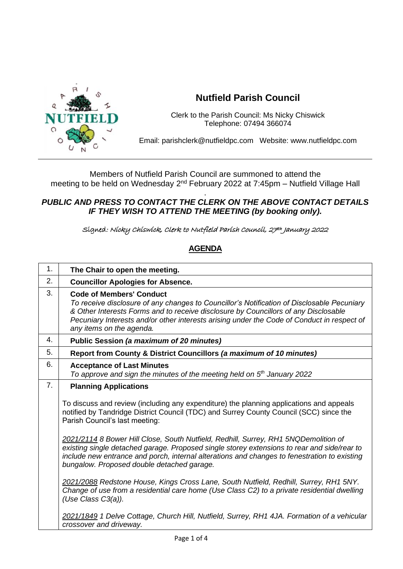

## **Nutfield Parish Council**

Clerk to the Parish Council: Ms Nicky Chiswick Telephone: 07494 366074

Email: parishclerk@nutfieldpc.com Website: www.nutfieldpc.com

Members of Nutfield Parish Council are summoned to attend the meeting to be held on Wednesday 2<sup>nd</sup> February 2022 at 7:45pm – Nutfield Village Hall

## . *PUBLIC AND PRESS TO CONTACT THE CLERK ON THE ABOVE CONTACT DETAILS IF THEY WISH TO ATTEND THE MEETING (by booking only).*

Signed: Nicky Chiswick, Clerk to Nutfield Parish Council, 27th January 2022

## **AGENDA**

| 1. | The Chair to open the meeting.                                                                                                                                                                                                                                                                                                                 |
|----|------------------------------------------------------------------------------------------------------------------------------------------------------------------------------------------------------------------------------------------------------------------------------------------------------------------------------------------------|
| 2. | <b>Councillor Apologies for Absence.</b>                                                                                                                                                                                                                                                                                                       |
| 3. | <b>Code of Members' Conduct</b><br>To receive disclosure of any changes to Councillor's Notification of Disclosable Pecuniary<br>& Other Interests Forms and to receive disclosure by Councillors of any Disclosable<br>Pecuniary Interests and/or other interests arising under the Code of Conduct in respect of<br>any items on the agenda. |
| 4. | Public Session (a maximum of 20 minutes)                                                                                                                                                                                                                                                                                                       |
| 5. | Report from County & District Councillors (a maximum of 10 minutes)                                                                                                                                                                                                                                                                            |
| 6. | <b>Acceptance of Last Minutes</b><br>To approve and sign the minutes of the meeting held on $5th$ January 2022                                                                                                                                                                                                                                 |
| 7. | <b>Planning Applications</b>                                                                                                                                                                                                                                                                                                                   |
|    | To discuss and review (including any expenditure) the planning applications and appeals<br>notified by Tandridge District Council (TDC) and Surrey County Council (SCC) since the<br>Parish Council's last meeting:                                                                                                                            |
|    | 2021/2114 8 Bower Hill Close, South Nutfield, Redhill, Surrey, RH1 5NQDemolition of<br>existing single detached garage. Proposed single storey extensions to rear and side/rear to<br>include new entrance and porch, internal alterations and changes to fenestration to existing<br>bungalow. Proposed double detached garage.               |
|    | 2021/2088 Redstone House, Kings Cross Lane, South Nutfield, Redhill, Surrey, RH1 5NY.<br>Change of use from a residential care home (Use Class C2) to a private residential dwelling<br>(Use Class C3(a)).                                                                                                                                     |
|    | 2021/1849 1 Delve Cottage, Church Hill, Nutfield, Surrey, RH1 4JA. Formation of a vehicular<br>crossover and driveway.                                                                                                                                                                                                                         |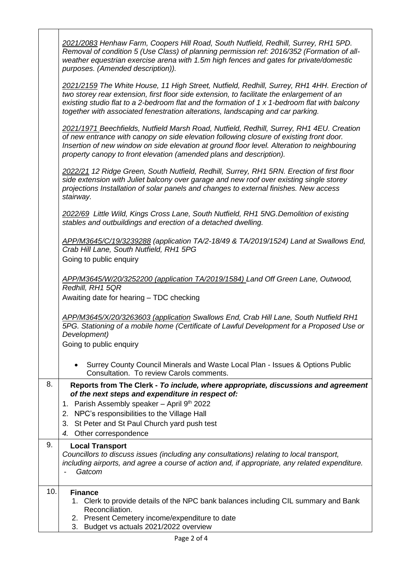|     | 2021/2083 Henhaw Farm, Coopers Hill Road, South Nutfield, Redhill, Surrey, RH1 5PD.<br>Removal of condition 5 (Use Class) of planning permission ref: 2016/352 (Formation of all-<br>weather equestrian exercise arena with 1.5m high fences and gates for private/domestic<br>purposes. (Amended description)).                                                             |
|-----|------------------------------------------------------------------------------------------------------------------------------------------------------------------------------------------------------------------------------------------------------------------------------------------------------------------------------------------------------------------------------|
|     | 2021/2159 The White House, 11 High Street, Nutfield, Redhill, Surrey, RH1 4HH. Erection of<br>two storey rear extension, first floor side extension, to facilitate the enlargement of an<br>existing studio flat to a 2-bedroom flat and the formation of 1 x 1-bedroom flat with balcony<br>together with associated fenestration alterations, landscaping and car parking. |
|     | 2021/1971 Beechfields, Nutfield Marsh Road, Nutfield, Redhill, Surrey, RH1 4EU. Creation<br>of new entrance with canopy on side elevation following closure of existing front door.<br>Insertion of new window on side elevation at ground floor level. Alteration to neighbouring<br>property canopy to front elevation (amended plans and description).                    |
|     | 2022/21 12 Ridge Green, South Nutfield, Redhill, Surrey, RH1 5RN. Erection of first floor<br>side extension with Juliet balcony over garage and new roof over existing single storey<br>projections Installation of solar panels and changes to external finishes. New access<br>stairway.                                                                                   |
|     | 2022/69 Little Wild, Kings Cross Lane, South Nutfield, RH1 5NG. Demolition of existing<br>stables and outbuildings and erection of a detached dwelling.                                                                                                                                                                                                                      |
|     | APP/M3645/C/19/3239288 (application TA/2-18/49 & TA/2019/1524) Land at Swallows End,<br>Crab Hill Lane, South Nutfield, RH1 5PG<br>Going to public enquiry                                                                                                                                                                                                                   |
|     | APP/M3645/W/20/3252200 (application TA/2019/1584) Land Off Green Lane, Outwood,<br>Redhill, RH1 5QR<br>Awaiting date for hearing - TDC checking                                                                                                                                                                                                                              |
|     | APP/M3645/X/20/3263603 (application Swallows End, Crab Hill Lane, South Nutfield RH1<br>5PG. Stationing of a mobile home (Certificate of Lawful Development for a Proposed Use or<br>Development)<br>Going to public enquiry                                                                                                                                                 |
|     | Surrey County Council Minerals and Waste Local Plan - Issues & Options Public<br>Consultation. To review Carols comments.                                                                                                                                                                                                                                                    |
| 8.  | Reports from The Clerk - To include, where appropriate, discussions and agreement<br>of the next steps and expenditure in respect of:<br>1. Parish Assembly speaker - April 9th 2022<br>NPC's responsibilities to the Village Hall<br>2.<br>St Peter and St Paul Church yard push test<br>3.<br>4. Other correspondence                                                      |
| 9.  | <b>Local Transport</b><br>Councillors to discuss issues (including any consultations) relating to local transport,<br>including airports, and agree a course of action and, if appropriate, any related expenditure.<br>Gatcom                                                                                                                                               |
| 10. | <b>Finance</b><br>1. Clerk to provide details of the NPC bank balances including CIL summary and Bank<br>Reconciliation.<br>2. Present Cemetery income/expenditure to date<br>Budget vs actuals 2021/2022 overview<br>3.                                                                                                                                                     |

┑

ヿ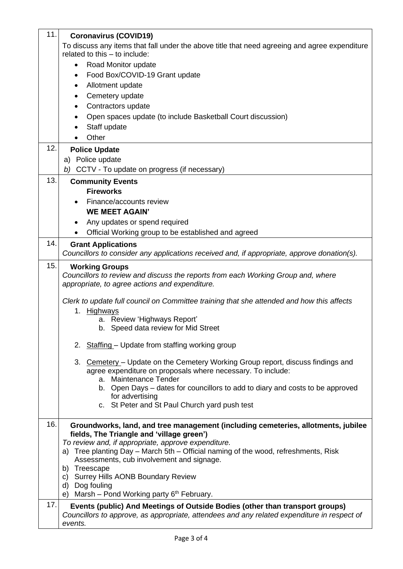| 11. | <b>Coronavirus (COVID19)</b>                                                                                                                                                           |
|-----|----------------------------------------------------------------------------------------------------------------------------------------------------------------------------------------|
|     | To discuss any items that fall under the above title that need agreeing and agree expenditure<br>related to this - to include:                                                         |
|     | Road Monitor update<br>$\bullet$                                                                                                                                                       |
|     | Food Box/COVID-19 Grant update<br>$\bullet$                                                                                                                                            |
|     | Allotment update<br>٠                                                                                                                                                                  |
|     | Cemetery update                                                                                                                                                                        |
|     | Contractors update                                                                                                                                                                     |
|     | Open spaces update (to include Basketball Court discussion)                                                                                                                            |
|     | Staff update<br>Other                                                                                                                                                                  |
| 12. | <b>Police Update</b>                                                                                                                                                                   |
|     | a) Police update                                                                                                                                                                       |
|     | b) CCTV - To update on progress (if necessary)                                                                                                                                         |
| 13. | <b>Community Events</b>                                                                                                                                                                |
|     | <b>Fireworks</b>                                                                                                                                                                       |
|     | Finance/accounts review                                                                                                                                                                |
|     | <b>WE MEET AGAIN'</b>                                                                                                                                                                  |
|     | Any updates or spend required                                                                                                                                                          |
|     | Official Working group to be established and agreed                                                                                                                                    |
| 14. | <b>Grant Applications</b><br>Councillors to consider any applications received and, if appropriate, approve donation(s).                                                               |
| 15. |                                                                                                                                                                                        |
|     | <b>Working Groups</b><br>Councillors to review and discuss the reports from each Working Group and, where<br>appropriate, to agree actions and expenditure.                            |
|     | Clerk to update full council on Committee training that she attended and how this affects<br>1. Highways                                                                               |
|     | a. Review 'Highways Report'<br>b. Speed data review for Mid Street                                                                                                                     |
|     | 2. Staffing - Update from staffing working group                                                                                                                                       |
|     | 3. Cemetery - Update on the Cemetery Working Group report, discuss findings and<br>agree expenditure on proposals where necessary. To include:<br>a. Maintenance Tender                |
|     | b. Open Days – dates for councillors to add to diary and costs to be approved                                                                                                          |
|     | for advertising<br>c. St Peter and St Paul Church yard push test                                                                                                                       |
| 16. | Groundworks, land, and tree management (including cemeteries, allotments, jubilee<br>fields, The Triangle and 'village green')                                                         |
|     | To review and, if appropriate, approve expenditure.                                                                                                                                    |
|     | a) Tree planting Day - March 5th - Official naming of the wood, refreshments, Risk                                                                                                     |
|     | Assessments, cub involvement and signage.<br>Treescape<br>b)                                                                                                                           |
|     | Surrey Hills AONB Boundary Review<br>C)                                                                                                                                                |
|     | Dog fouling<br>d)                                                                                                                                                                      |
| 17. | Marsh – Pond Working party $6th$ February.<br>e)                                                                                                                                       |
|     | Events (public) And Meetings of Outside Bodies (other than transport groups)<br>Councillors to approve, as appropriate, attendees and any related expenditure in respect of<br>events. |